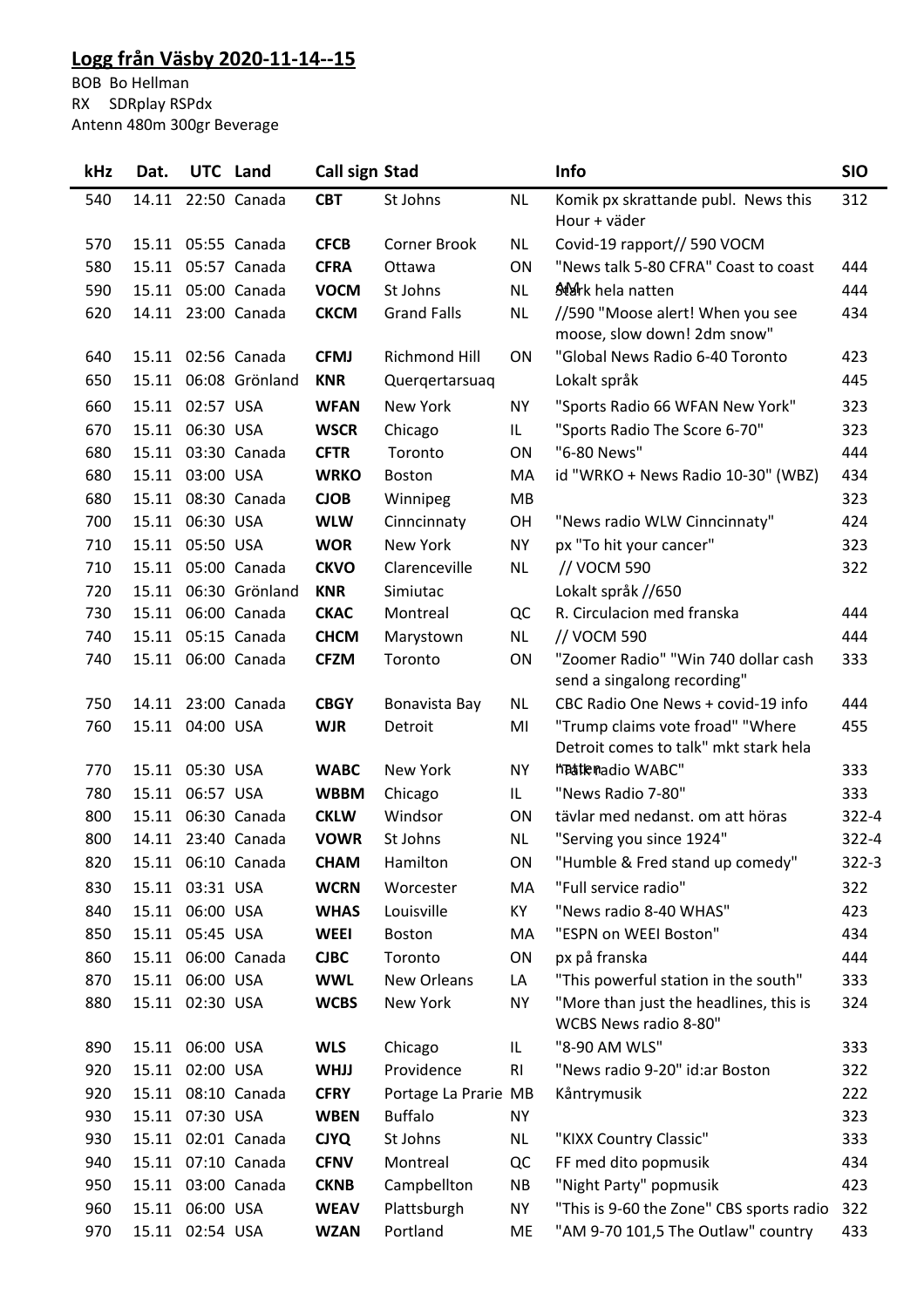## **Logg från Väsby 2020-11-14--15**

BOB Bo Hellman RX SDRplay RSPdx Antenn 480m 300gr Beverage

| kHz | Dat.  |                 | UTC Land           | <b>Call sign Stad</b> |                      |           | Info                                                                      | <b>SIO</b> |
|-----|-------|-----------------|--------------------|-----------------------|----------------------|-----------|---------------------------------------------------------------------------|------------|
| 540 | 14.11 |                 | 22:50 Canada       | <b>CBT</b>            | St Johns             | <b>NL</b> | Komik px skrattande publ. News this<br>Hour + väder                       | 312        |
| 570 | 15.11 |                 | 05:55 Canada       | <b>CFCB</b>           | <b>Corner Brook</b>  | <b>NL</b> | Covid-19 rapport// 590 VOCM                                               |            |
| 580 | 15.11 |                 | 05:57 Canada       | <b>CFRA</b>           | Ottawa               | <b>ON</b> | "News talk 5-80 CFRA" Coast to coast                                      | 444        |
| 590 | 15.11 |                 | 05:00 Canada       | <b>VOCM</b>           | St Johns             | <b>NL</b> | SMark hela natten                                                         | 444        |
| 620 | 14.11 |                 | 23:00 Canada       | <b>CKCM</b>           | <b>Grand Falls</b>   | <b>NL</b> | //590 "Moose alert! When you see<br>moose, slow down! 2dm snow"           | 434        |
| 640 |       |                 | 15.11 02:56 Canada | <b>CFMJ</b>           | Richmond Hill        | ON        | "Global News Radio 6-40 Toronto                                           | 423        |
| 650 | 15.11 |                 | 06:08 Grönland     | <b>KNR</b>            | Quergertarsuag       |           | Lokalt språk                                                              | 445        |
| 660 | 15.11 | 02:57 USA       |                    | <b>WFAN</b>           | New York             | <b>NY</b> | "Sports Radio 66 WFAN New York"                                           | 323        |
| 670 | 15.11 | 06:30 USA       |                    | <b>WSCR</b>           | Chicago              | IL.       | "Sports Radio The Score 6-70"                                             | 323        |
| 680 | 15.11 |                 | 03:30 Canada       | <b>CFTR</b>           | Toronto              | ON        | "6-80 News"                                                               | 444        |
| 680 |       | 15.11 03:00 USA |                    | <b>WRKO</b>           | <b>Boston</b>        | МA        | id "WRKO + News Radio 10-30" (WBZ)                                        | 434        |
| 680 | 15.11 |                 | 08:30 Canada       | <b>CJOB</b>           | Winnipeg             | MB        |                                                                           | 323        |
| 700 |       | 15.11 06:30 USA |                    | <b>WLW</b>            | Cinncinnaty          | OH        | "News radio WLW Cinncinnaty"                                              | 424        |
| 710 | 15.11 | 05:50 USA       |                    | <b>WOR</b>            | New York             | <b>NY</b> | px "To hit your cancer"                                                   | 323        |
| 710 |       |                 | 15.11 05:00 Canada | <b>CKVO</b>           | Clarenceville        | <b>NL</b> | // VOCM 590                                                               | 322        |
| 720 | 15.11 |                 | 06:30 Grönland     | <b>KNR</b>            | Simiutac             |           | Lokalt språk //650                                                        |            |
| 730 |       |                 | 15.11 06:00 Canada | <b>CKAC</b>           | Montreal             | QC        | R. Circulacion med franska                                                | 444        |
| 740 | 15.11 |                 | 05:15 Canada       | <b>CHCM</b>           | Marystown            | <b>NL</b> | // VOCM 590                                                               | 444        |
| 740 |       |                 | 15.11 06:00 Canada | <b>CFZM</b>           | Toronto              | ON        | "Zoomer Radio" "Win 740 dollar cash<br>send a singalong recording"        | 333        |
| 750 | 14.11 |                 | 23:00 Canada       | <b>CBGY</b>           | Bonavista Bay        | <b>NL</b> | CBC Radio One News + covid-19 info                                        | 444        |
| 760 |       | 15.11 04:00 USA |                    | <b>WJR</b>            | Detroit              | MI        | "Trump claims vote froad" "Where<br>Detroit comes to talk" mkt stark hela | 455        |
| 770 |       | 15.11 05:30 USA |                    | <b>WABC</b>           | New York             | <b>NY</b> | hastenadio WABC"                                                          | 333        |
| 780 | 15.11 | 06:57 USA       |                    | <b>WBBM</b>           | Chicago              | IL.       | "News Radio 7-80"                                                         | 333        |
| 800 | 15.11 |                 | 06:30 Canada       | <b>CKLW</b>           | Windsor              | <b>ON</b> | tävlar med nedanst. om att höras                                          | $322 - 4$  |
| 800 |       |                 | 14.11 23:40 Canada | <b>VOWR</b>           | St Johns             | <b>NL</b> | "Serving you since 1924"                                                  | $322 - 4$  |
| 820 |       |                 | 15.11 06:10 Canada | <b>CHAM</b>           | Hamilton             | ON        | "Humble & Fred stand up comedy"                                           | $322 - 3$  |
| 830 |       | 15.11 03:31 USA |                    | <b>WCRN</b>           | Worcester            | MA        | "Full service radio"                                                      | 322        |
| 840 |       | 15.11 06:00 USA |                    | <b>WHAS</b>           | Louisville           | KY        | "News radio 8-40 WHAS"                                                    | 423        |
| 850 | 15.11 | 05:45 USA       |                    | <b>WEEI</b>           | Boston               | MA        | "ESPN on WEEI Boston"                                                     | 434        |
| 860 | 15.11 |                 | 06:00 Canada       | <b>CJBC</b>           | Toronto              | ON        | px på franska                                                             | 444        |
| 870 | 15.11 | 06:00 USA       |                    | <b>WWL</b>            | New Orleans          | LA        | "This powerful station in the south"                                      | 333        |
| 880 | 15.11 | 02:30 USA       |                    | <b>WCBS</b>           | New York             | <b>NY</b> | "More than just the headlines, this is<br>WCBS News radio 8-80"           | 324        |
| 890 |       | 15.11 06:00 USA |                    | <b>WLS</b>            | Chicago              | IL        | "8-90 AM WLS"                                                             | 333        |
| 920 |       | 15.11 02:00 USA |                    | <b>WHJJ</b>           | Providence           | RI        | "News radio 9-20" id:ar Boston                                            | 322        |
| 920 |       |                 | 15.11 08:10 Canada | <b>CFRY</b>           | Portage La Prarie MB |           | Kåntrymusik                                                               | 222        |
| 930 |       | 15.11 07:30 USA |                    | <b>WBEN</b>           | <b>Buffalo</b>       | NY        |                                                                           | 323        |
| 930 |       |                 | 15.11 02:01 Canada | <b>CJYQ</b>           | St Johns             | <b>NL</b> | "KIXX Country Classic"                                                    | 333        |
| 940 |       |                 | 15.11 07:10 Canada | <b>CFNV</b>           | Montreal             | QC        | FF med dito popmusik                                                      | 434        |
| 950 |       |                 | 15.11 03:00 Canada | <b>CKNB</b>           | Campbellton          | NB        | "Night Party" popmusik                                                    | 423        |
| 960 | 15.11 | 06:00 USA       |                    | <b>WEAV</b>           | Plattsburgh          | <b>NY</b> | "This is 9-60 the Zone" CBS sports radio                                  | 322        |
| 970 |       | 15.11 02:54 USA |                    | <b>WZAN</b>           | Portland             | ME        | "AM 9-70 101,5 The Outlaw" country                                        | 433        |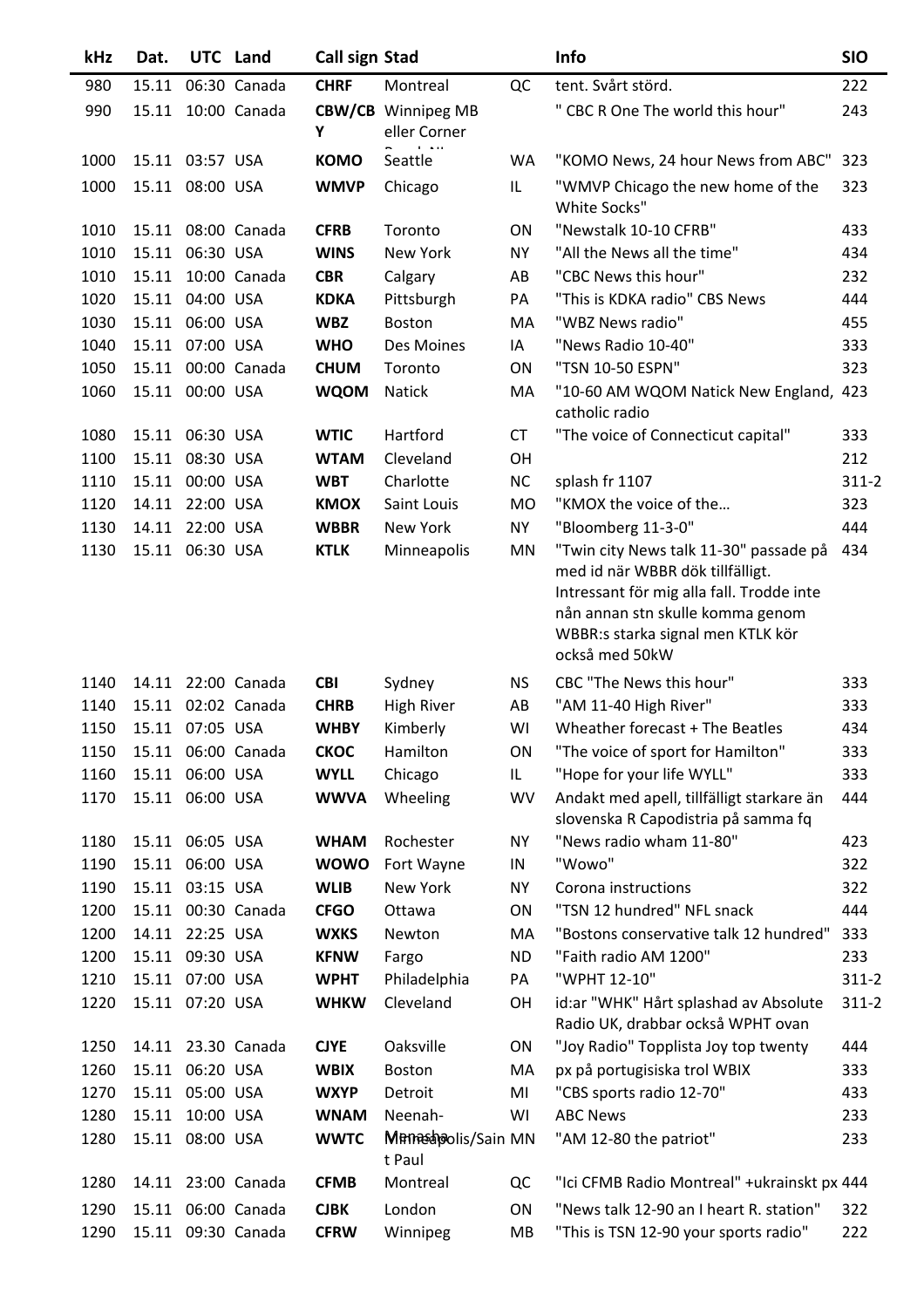| kHz  | Dat.  |                 | UTC Land           | Call sign Stad |                                           |           | Info                                                                                                                                                                                                               | <b>SIO</b> |
|------|-------|-----------------|--------------------|----------------|-------------------------------------------|-----------|--------------------------------------------------------------------------------------------------------------------------------------------------------------------------------------------------------------------|------------|
| 980  | 15.11 |                 | 06:30 Canada       | <b>CHRF</b>    | Montreal                                  | QC        | tent. Svårt störd.                                                                                                                                                                                                 | 222        |
| 990  | 15.11 |                 | 10:00 Canada       | Υ              | <b>CBW/CB</b> Winnipeg MB<br>eller Corner |           | " CBC R One The world this hour"                                                                                                                                                                                   | 243        |
| 1000 |       | 15.11 03:57 USA |                    | <b>KOMO</b>    | Seattle                                   | WA        | "KOMO News, 24 hour News from ABC" 323                                                                                                                                                                             |            |
| 1000 |       | 15.11 08:00 USA |                    | <b>WMVP</b>    | Chicago                                   | IL        | "WMVP Chicago the new home of the<br>White Socks"                                                                                                                                                                  | 323        |
| 1010 | 15.11 |                 | 08:00 Canada       | <b>CFRB</b>    | Toronto                                   | <b>ON</b> | "Newstalk 10-10 CFRB"                                                                                                                                                                                              | 433        |
| 1010 | 15.11 | 06:30 USA       |                    | <b>WINS</b>    | New York                                  | <b>NY</b> | "All the News all the time"                                                                                                                                                                                        | 434        |
| 1010 | 15.11 |                 | 10:00 Canada       | <b>CBR</b>     | Calgary                                   | AB        | "CBC News this hour"                                                                                                                                                                                               | 232        |
| 1020 | 15.11 | 04:00 USA       |                    | <b>KDKA</b>    | Pittsburgh                                | PA        | "This is KDKA radio" CBS News                                                                                                                                                                                      | 444        |
| 1030 | 15.11 | 06:00 USA       |                    | <b>WBZ</b>     | Boston                                    | MA        | "WBZ News radio"                                                                                                                                                                                                   | 455        |
| 1040 | 15.11 | 07:00 USA       |                    | <b>WHO</b>     | Des Moines                                | IA        | "News Radio 10-40"                                                                                                                                                                                                 | 333        |
| 1050 | 15.11 |                 | 00:00 Canada       | <b>CHUM</b>    | Toronto                                   | ON        | "TSN 10-50 ESPN"                                                                                                                                                                                                   | 323        |
| 1060 |       | 15.11 00:00 USA |                    | <b>WQOM</b>    | Natick                                    | MA        | "10-60 AM WQOM Natick New England, 423<br>catholic radio                                                                                                                                                           |            |
| 1080 | 15.11 | 06:30 USA       |                    | <b>WTIC</b>    | Hartford                                  | <b>CT</b> | "The voice of Connecticut capital"                                                                                                                                                                                 | 333        |
| 1100 | 15.11 | 08:30 USA       |                    | <b>WTAM</b>    | Cleveland                                 | OH        |                                                                                                                                                                                                                    | 212        |
| 1110 | 15.11 | 00:00 USA       |                    | <b>WBT</b>     | Charlotte                                 | <b>NC</b> | splash fr 1107                                                                                                                                                                                                     | $311 - 2$  |
| 1120 | 14.11 | 22:00 USA       |                    | <b>KMOX</b>    | Saint Louis                               | MO        | "KMOX the voice of the                                                                                                                                                                                             | 323        |
| 1130 | 14.11 | 22:00 USA       |                    | <b>WBBR</b>    | New York                                  | <b>NY</b> | "Bloomberg 11-3-0"                                                                                                                                                                                                 | 444        |
| 1130 | 15.11 | 06:30 USA       |                    | <b>KTLK</b>    | Minneapolis                               | MN        | "Twin city News talk 11-30" passade på<br>med id när WBBR dök tillfälligt.<br>Intressant för mig alla fall. Trodde inte<br>nån annan stn skulle komma genom<br>WBBR:s starka signal men KTLK kör<br>också med 50kW | 434        |
| 1140 | 14.11 |                 | 22:00 Canada       | <b>CBI</b>     | Sydney                                    | NS.       | CBC "The News this hour"                                                                                                                                                                                           | 333        |
| 1140 | 15.11 |                 | 02:02 Canada       | <b>CHRB</b>    | <b>High River</b>                         | AB        | "AM 11-40 High River"                                                                                                                                                                                              | 333        |
| 1150 |       | 15.11 07:05 USA |                    | <b>WHBY</b>    | Kimberly                                  | WI        | Wheather forecast + The Beatles                                                                                                                                                                                    | 434        |
| 1150 |       |                 | 15.11 06:00 Canada | <b>CKOC</b>    | Hamilton                                  | ON        | "The voice of sport for Hamilton"                                                                                                                                                                                  | 333        |
| 1160 | 15.11 | 06:00 USA       |                    | <b>WYLL</b>    | Chicago                                   | IL        | "Hope for your life WYLL"                                                                                                                                                                                          | 333        |
| 1170 | 15.11 | 06:00 USA       |                    | <b>WWVA</b>    | Wheeling                                  | WV        | Andakt med apell, tillfälligt starkare än<br>slovenska R Capodistria på samma fq                                                                                                                                   | 444        |
| 1180 |       | 15.11 06:05 USA |                    | <b>WHAM</b>    | Rochester                                 | <b>NY</b> | "News radio wham 11-80"                                                                                                                                                                                            | 423        |
| 1190 |       | 15.11 06:00 USA |                    | <b>WOWO</b>    | Fort Wayne                                | IN        | "Wowo"                                                                                                                                                                                                             | 322        |
| 1190 |       | 15.11 03:15 USA |                    | <b>WLIB</b>    | New York                                  | <b>NY</b> | Corona instructions                                                                                                                                                                                                | 322        |
| 1200 |       |                 | 15.11 00:30 Canada | <b>CFGO</b>    | Ottawa                                    | ON        | "TSN 12 hundred" NFL snack                                                                                                                                                                                         | 444        |
| 1200 | 14.11 | 22:25 USA       |                    | <b>WXKS</b>    | Newton                                    | MA        | "Bostons conservative talk 12 hundred"                                                                                                                                                                             | 333        |
| 1200 | 15.11 | 09:30 USA       |                    | <b>KFNW</b>    | Fargo                                     | <b>ND</b> | "Faith radio AM 1200"                                                                                                                                                                                              | 233        |
| 1210 |       | 15.11 07:00 USA |                    | <b>WPHT</b>    | Philadelphia                              | PA        | "WPHT 12-10"                                                                                                                                                                                                       | $311 - 2$  |
| 1220 | 15.11 | 07:20 USA       |                    | <b>WHKW</b>    | Cleveland                                 | OH        | id:ar "WHK" Hårt splashad av Absolute<br>Radio UK, drabbar också WPHT ovan                                                                                                                                         | $311 - 2$  |
| 1250 |       |                 | 14.11 23.30 Canada | <b>CJYE</b>    | Oaksville                                 | ON        | "Joy Radio" Topplista Joy top twenty                                                                                                                                                                               | 444        |
| 1260 |       | 15.11 06:20 USA |                    | <b>WBIX</b>    | Boston                                    | MA        | px på portugisiska trol WBIX                                                                                                                                                                                       | 333        |
| 1270 |       | 15.11 05:00 USA |                    | <b>WXYP</b>    | Detroit                                   | MI        | "CBS sports radio 12-70"                                                                                                                                                                                           | 433        |
| 1280 | 15.11 | 10:00 USA       |                    | <b>WNAM</b>    | Neenah-                                   | WI        | <b>ABC News</b>                                                                                                                                                                                                    | 233        |
| 1280 | 15.11 | 08:00 USA       |                    | <b>WWTC</b>    | Mamashoolis/Sain MN<br>t Paul             |           | "AM 12-80 the patriot"                                                                                                                                                                                             | 233        |
| 1280 |       |                 | 14.11 23:00 Canada | <b>CFMB</b>    | Montreal                                  | QC        | "Ici CFMB Radio Montreal" +ukrainskt px 444                                                                                                                                                                        |            |
| 1290 |       |                 | 15.11 06:00 Canada | <b>CJBK</b>    | London                                    | ON        | "News talk 12-90 an I heart R. station"                                                                                                                                                                            | 322        |
| 1290 |       |                 | 15.11 09:30 Canada | <b>CFRW</b>    | Winnipeg                                  | MB        | "This is TSN 12-90 your sports radio"                                                                                                                                                                              | 222        |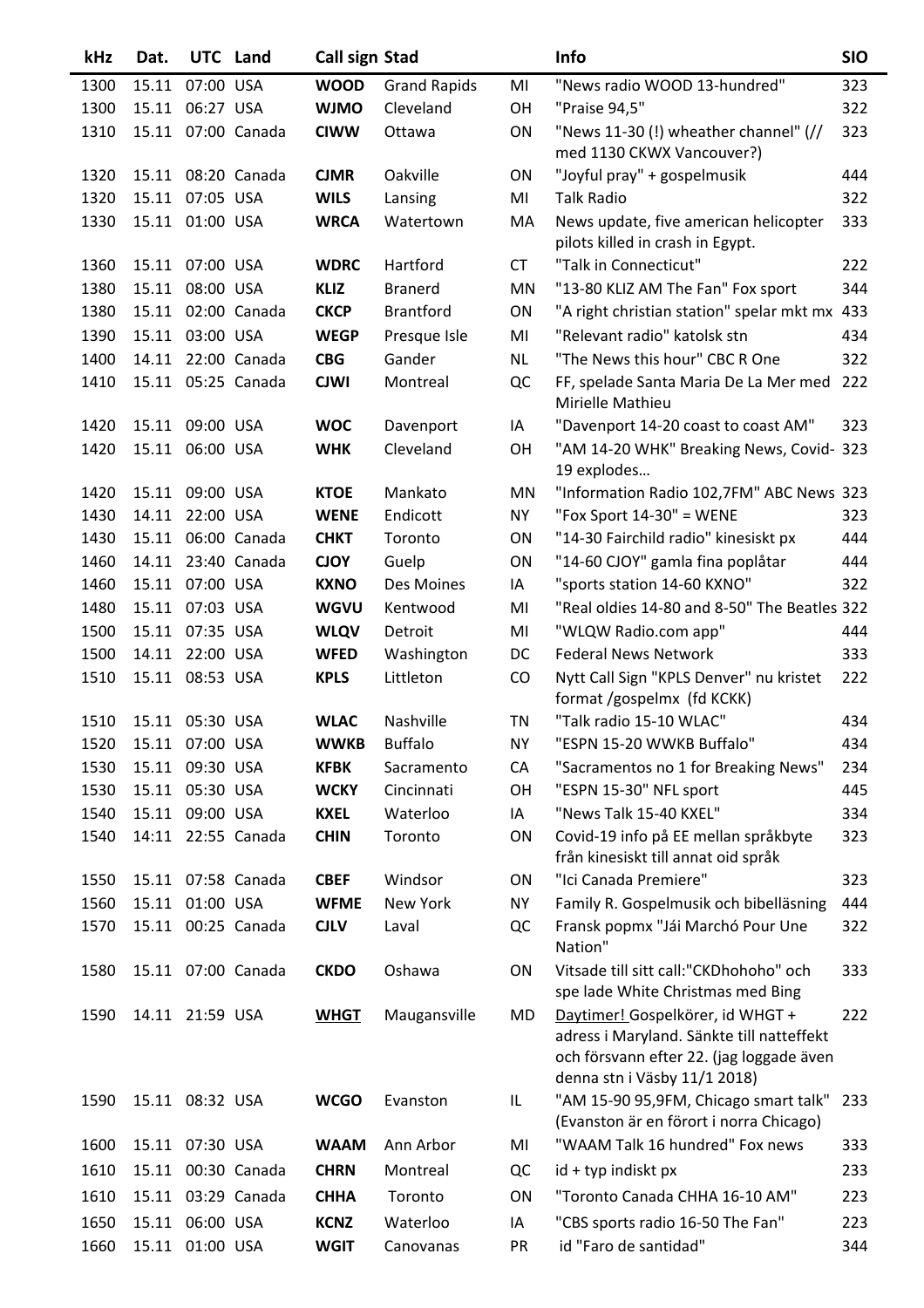| kHz  | Dat.                 |                 | UTC Land           | Call sign Stad |                     |           | Info                                                                                                                                                      | <b>SIO</b> |
|------|----------------------|-----------------|--------------------|----------------|---------------------|-----------|-----------------------------------------------------------------------------------------------------------------------------------------------------------|------------|
| 1300 | 15.11                | 07:00 USA       |                    | <b>WOOD</b>    | <b>Grand Rapids</b> | MI        | "News radio WOOD 13-hundred"                                                                                                                              | 323        |
| 1300 | 15.11                | 06:27 USA       |                    | <b>WJMO</b>    | Cleveland           | OН        | "Praise 94,5"                                                                                                                                             | 322        |
| 1310 |                      |                 | 15.11 07:00 Canada | <b>CIWW</b>    | Ottawa              | ON        | "News 11-30 (!) wheather channel" (//<br>med 1130 CKWX Vancouver?)                                                                                        | 323        |
| 1320 |                      |                 | 15.11 08:20 Canada | <b>CJMR</b>    | Oakville            | ON        | "Joyful pray" + gospelmusik                                                                                                                               | 444        |
| 1320 | 15.11                | 07:05 USA       |                    | <b>WILS</b>    | Lansing             | MI        | <b>Talk Radio</b>                                                                                                                                         | 322        |
| 1330 |                      | 15.11 01:00 USA |                    | <b>WRCA</b>    | Watertown           | MA        | News update, five american helicopter<br>pilots killed in crash in Egypt.                                                                                 | 333        |
| 1360 |                      | 15.11 07:00 USA |                    | <b>WDRC</b>    | Hartford            | <b>CT</b> | "Talk in Connecticut"                                                                                                                                     | 222        |
| 1380 | 15.11                | 08:00 USA       |                    | <b>KLIZ</b>    | <b>Branerd</b>      | MN        | "13-80 KLIZ AM The Fan" Fox sport                                                                                                                         | 344        |
| 1380 | 15.11                |                 | 02:00 Canada       | <b>CKCP</b>    | <b>Brantford</b>    | ON        | "A right christian station" spelar mkt mx                                                                                                                 | 433        |
| 1390 | 15.11                | 03:00 USA       |                    | <b>WEGP</b>    | Presque Isle        | MI        | "Relevant radio" katolsk stn                                                                                                                              | 434        |
| 1400 | 14.11                |                 | 22:00 Canada       | <b>CBG</b>     | Gander              | <b>NL</b> | "The News this hour" CBC R One                                                                                                                            | 322        |
| 1410 | 15.11                |                 | 05:25 Canada       | <b>CJWI</b>    | Montreal            | QC        | FF, spelade Santa Maria De La Mer med<br>Mirielle Mathieu                                                                                                 | 222        |
| 1420 |                      | 15.11 09:00 USA |                    | <b>WOC</b>     | Davenport           | IA        | "Davenport 14-20 coast to coast AM"                                                                                                                       | 323        |
| 1420 |                      | 15.11 06:00 USA |                    | <b>WHK</b>     | Cleveland           | OH        | "AM 14-20 WHK" Breaking News, Covid-<br>19 explodes                                                                                                       | 323        |
| 1420 |                      | 15.11 09:00 USA |                    | <b>KTOE</b>    | Mankato             | MN        | "Information Radio 102,7FM" ABC News 323                                                                                                                  |            |
| 1430 | 14.11                | 22:00 USA       |                    | <b>WENE</b>    | Endicott            | <b>NY</b> | "Fox Sport $14-30$ " = WENE                                                                                                                               | 323        |
| 1430 |                      |                 | 15.11 06:00 Canada | <b>CHKT</b>    | Toronto             | ON        | "14-30 Fairchild radio" kinesiskt px                                                                                                                      | 444        |
| 1460 | 14.11                |                 | 23:40 Canada       | <b>CJOY</b>    | Guelp               | ON        | "14-60 CJOY" gamla fina poplåtar                                                                                                                          | 444        |
| 1460 | 15.11                | 07:00 USA       |                    | <b>KXNO</b>    | Des Moines          | IA        | "sports station 14-60 KXNO"                                                                                                                               | 322        |
| 1480 | 15.11                | 07:03 USA       |                    | <b>WGVU</b>    | Kentwood            | MI        | "Real oldies 14-80 and 8-50" The Beatles 322                                                                                                              |            |
| 1500 |                      | 15.11 07:35 USA |                    | <b>WLQV</b>    | Detroit             | MI        | "WLQW Radio.com app"                                                                                                                                      | 444        |
| 1500 | 14.11                | 22:00 USA       |                    | <b>WFED</b>    | Washington          | DC        | <b>Federal News Network</b>                                                                                                                               | 333        |
| 1510 | 15.11                | 08:53 USA       |                    | <b>KPLS</b>    | Littleton           | CO        | Nytt Call Sign "KPLS Denver" nu kristet<br>format /gospelmx (fd KCKK)                                                                                     | 222        |
| 1510 |                      | 15.11 05:30 USA |                    | <b>WLAC</b>    | Nashville           | <b>TN</b> | "Talk radio 15-10 WLAC"                                                                                                                                   | 434        |
|      | 1520 15.11 07:00 USA |                 |                    | <b>WWKB</b>    | <b>Buffalo</b>      | <b>NY</b> | "ESPN 15-20 WWKB Buffalo"                                                                                                                                 | 434        |
| 1530 | 15.11                | 09:30 USA       |                    | <b>KFBK</b>    | Sacramento          | CA        | "Sacramentos no 1 for Breaking News"                                                                                                                      | 234        |
| 1530 |                      | 15.11 05:30 USA |                    | <b>WCKY</b>    | Cincinnati          | OН        | "ESPN 15-30" NFL sport                                                                                                                                    | 445        |
| 1540 |                      | 15.11 09:00 USA |                    | <b>KXEL</b>    | Waterloo            | IA        | "News Talk 15-40 KXEL"                                                                                                                                    | 334        |
| 1540 |                      |                 | 14:11 22:55 Canada | <b>CHIN</b>    | Toronto             | ON        | Covid-19 info på EE mellan språkbyte<br>från kinesiskt till annat oid språk                                                                               | 323        |
| 1550 |                      |                 | 15.11 07:58 Canada | <b>CBEF</b>    | Windsor             | ON        | "Ici Canada Premiere"                                                                                                                                     | 323        |
| 1560 |                      | 15.11 01:00 USA |                    | <b>WFME</b>    | New York            | <b>NY</b> | Family R. Gospelmusik och bibelläsning                                                                                                                    | 444        |
| 1570 |                      |                 | 15.11 00:25 Canada | <b>CJLV</b>    | Laval               | QC        | Fransk popmx "Jái Marchó Pour Une<br>Nation"                                                                                                              | 322        |
| 1580 |                      |                 | 15.11 07:00 Canada | <b>CKDO</b>    | Oshawa              | ON        | Vitsade till sitt call:"CKDhohoho" och<br>spe lade White Christmas med Bing                                                                               | 333        |
| 1590 |                      | 14.11 21:59 USA |                    | <b>WHGT</b>    | Maugansville        | MD        | Daytimer! Gospelkörer, id WHGT +<br>adress i Maryland. Sänkte till natteffekt<br>och försvann efter 22. (jag loggade även<br>denna stn i Väsby 11/1 2018) | 222        |
| 1590 |                      | 15.11 08:32 USA |                    | <b>WCGO</b>    | Evanston            | IL        | "AM 15-90 95,9FM, Chicago smart talk"<br>(Evanston är en förort i norra Chicago)                                                                          | 233        |
| 1600 |                      | 15.11 07:30 USA |                    | <b>WAAM</b>    | Ann Arbor           | MI        | "WAAM Talk 16 hundred" Fox news                                                                                                                           | 333        |
| 1610 |                      |                 | 15.11 00:30 Canada | <b>CHRN</b>    | Montreal            | QC        | id + typ indiskt px                                                                                                                                       | 233        |
| 1610 |                      |                 | 15.11 03:29 Canada | <b>CHHA</b>    | Toronto             | ON        | "Toronto Canada CHHA 16-10 AM"                                                                                                                            | 223        |
| 1650 |                      | 15.11 06:00 USA |                    | <b>KCNZ</b>    | Waterloo            | IA        | "CBS sports radio 16-50 The Fan"                                                                                                                          | 223        |
| 1660 |                      | 15.11 01:00 USA |                    | <b>WGIT</b>    | Canovanas           | PR        | id "Faro de santidad"                                                                                                                                     | 344        |
|      |                      |                 |                    |                |                     |           |                                                                                                                                                           |            |